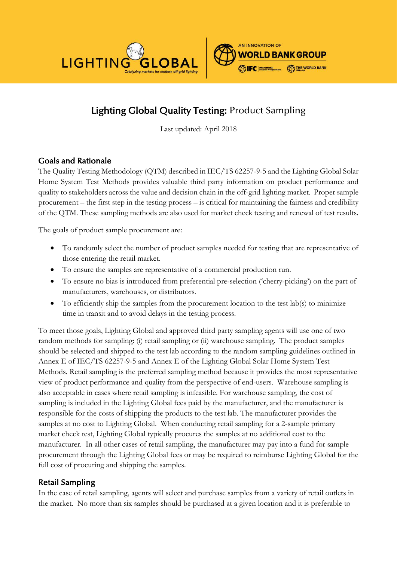



# Lighting Global Quality Testing: Product Sampling

Last updated: April 2018

# Goals and Rationale

The Quality Testing Methodology (QTM) described in IEC/TS 62257-9-5 and the Lighting Global Solar Home System Test Methods provides valuable third party information on product performance and quality to stakeholders across the value and decision chain in the off-grid lighting market. Proper sample procurement – the first step in the testing process – is critical for maintaining the fairness and credibility of the QTM. These sampling methods are also used for market check testing and renewal of test results.

The goals of product sample procurement are:

- To randomly select the number of product samples needed for testing that are representative of those entering the retail market.
- To ensure the samples are representative of a commercial production run.
- To ensure no bias is introduced from preferential pre-selection ('cherry-picking') on the part of manufacturers, warehouses, or distributors.
- To efficiently ship the samples from the procurement location to the test lab(s) to minimize time in transit and to avoid delays in the testing process.

To meet those goals, Lighting Global and approved third party sampling agents will use one of two random methods for sampling: (i) retail sampling or (ii) warehouse sampling. The product samples should be selected and shipped to the test lab according to the random sampling guidelines outlined in Annex E of IEC/TS 62257-9-5 and Annex E of the Lighting Global Solar Home System Test Methods. Retail sampling is the preferred sampling method because it provides the most representative view of product performance and quality from the perspective of end-users. Warehouse sampling is also acceptable in cases where retail sampling is infeasible. For warehouse sampling, the cost of sampling is included in the Lighting Global fees paid by the manufacturer, and the manufacturer is responsible for the costs of shipping the products to the test lab. The manufacturer provides the samples at no cost to Lighting Global. When conducting retail sampling for a 2-sample primary market check test, Lighting Global typically procures the samples at no additional cost to the manufacturer. In all other cases of retail sampling, the manufacturer may pay into a fund for sample procurement through the Lighting Global fees or may be required to reimburse Lighting Global for the full cost of procuring and shipping the samples.

### Retail Sampling

In the case of retail sampling, agents will select and purchase samples from a variety of retail outlets in the market. No more than six samples should be purchased at a given location and it is preferable to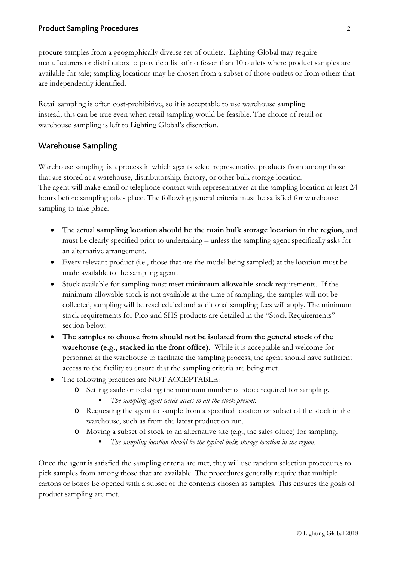#### Product Sampling Procedures 2

procure samples from a geographically diverse set of outlets. Lighting Global may require manufacturers or distributors to provide a list of no fewer than 10 outlets where product samples are available for sale; sampling locations may be chosen from a subset of those outlets or from others that are independently identified.

Retail sampling is often cost-prohibitive, so it is acceptable to use warehouse sampling instead; this can be true even when retail sampling would be feasible. The choice of retail or warehouse sampling is left to Lighting Global's discretion.

#### Warehouse Sampling

Warehouse sampling is a process in which agents select representative products from among those that are stored at a warehouse, distributorship, factory, or other bulk storage location. The agent will make email or telephone contact with representatives at the sampling location at least 24 hours before sampling takes place. The following general criteria must be satisfied for warehouse sampling to take place:

- The actual **sampling location should be the main bulk storage location in the region,** and must be clearly specified prior to undertaking – unless the sampling agent specifically asks for an alternative arrangement.
- Every relevant product (i.e., those that are the model being sampled) at the location must be made available to the sampling agent.
- Stock available for sampling must meet **minimum allowable stock** requirements. If the minimum allowable stock is not available at the time of sampling, the samples will not be collected, sampling will be rescheduled and additional sampling fees will apply. The minimum stock requirements for Pico and SHS products are detailed in the "Stock Requirements" section below.
- **The samples to choose from should not be isolated from the general stock of the warehouse (e.g., stacked in the front office).** While it is acceptable and welcome for personnel at the warehouse to facilitate the sampling process, the agent should have sufficient access to the facility to ensure that the sampling criteria are being met.
- The following practices are NOT ACCEPTABLE:
	- o Setting aside or isolating the minimum number of stock required for sampling.
		- *The sampling agent needs access to all the stock present.*
	- o Requesting the agent to sample from a specified location or subset of the stock in the warehouse, such as from the latest production run.
	- o Moving a subset of stock to an alternative site (e.g., the sales office) for sampling.
		- *The sampling location should be the typical bulk storage location in the region.*

Once the agent is satisfied the sampling criteria are met, they will use random selection procedures to pick samples from among those that are available. The procedures generally require that multiple cartons or boxes be opened with a subset of the contents chosen as samples. This ensures the goals of product sampling are met.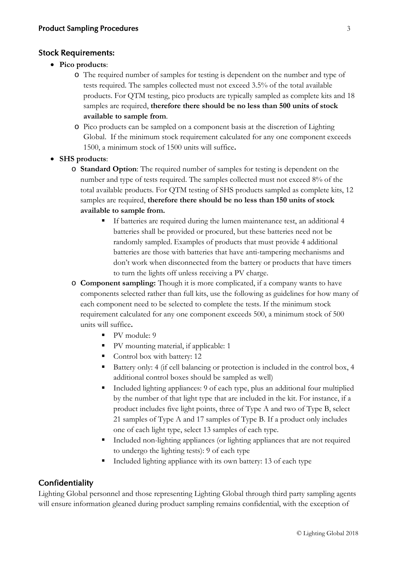#### Stock Requirements:

- **Pico products**:
	- o The required number of samples for testing is dependent on the number and type of tests required. The samples collected must not exceed 3.5% of the total available products. For QTM testing, pico products are typically sampled as complete kits and 18 samples are required, **therefore there should be no less than 500 units of stock available to sample from**.
	- o Pico products can be sampled on a component basis at the discretion of Lighting Global.If the minimum stock requirement calculated for any one component exceeds 1500, a minimum stock of 1500 units will suffice**.**
- **SHS products**:
	- o **Standard Option**: The required number of samples for testing is dependent on the number and type of tests required. The samples collected must not exceed 8% of the total available products. For QTM testing of SHS products sampled as complete kits, 12 samples are required, **therefore there should be no less than 150 units of stock available to sample from.**
		- If batteries are required during the lumen maintenance test, an additional 4 batteries shall be provided or procured, but these batteries need not be randomly sampled. Examples of products that must provide 4 additional batteries are those with batteries that have anti-tampering mechanisms and don't work when disconnected from the battery or products that have timers to turn the lights off unless receiving a PV charge.
	- o **Component sampling:** Though it is more complicated, if a company wants to have components selected rather than full kits, use the following as guidelines for how many of each component need to be selected to complete the tests. If the minimum stock requirement calculated for any one component exceeds 500, a minimum stock of 500 units will suffice**.**
		- $\blacksquare$  PV module: 9
		- PV mounting material, if applicable: 1
		- Control box with battery: 12
		- Battery only: 4 (if cell balancing or protection is included in the control box, 4 additional control boxes should be sampled as well)
		- Included lighting appliances: 9 of each type, plus an additional four multiplied by the number of that light type that are included in the kit. For instance, if a product includes five light points, three of Type A and two of Type B, select 21 samples of Type A and 17 samples of Type B. If a product only includes one of each light type, select 13 samples of each type.
		- Included non-lighting appliances (or lighting appliances that are not required to undergo the lighting tests): 9 of each type
		- Included lighting appliance with its own battery: 13 of each type

#### **Confidentiality**

Lighting Global personnel and those representing Lighting Global through third party sampling agents will ensure information gleaned during product sampling remains confidential, with the exception of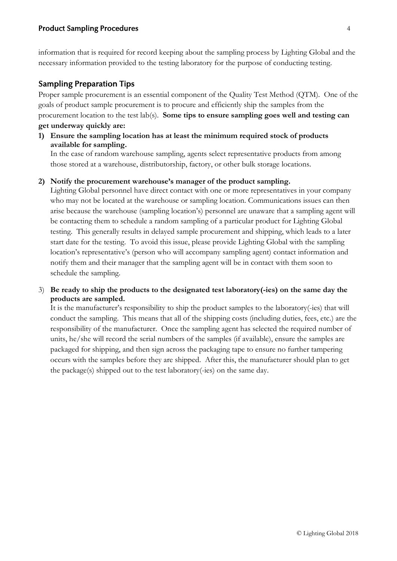information that is required for record keeping about the sampling process by Lighting Global and the necessary information provided to the testing laboratory for the purpose of conducting testing.

## Sampling Preparation Tips

Proper sample procurement is an essential component of the Quality Test Method (QTM). One of the goals of product sample procurement is to procure and efficiently ship the samples from the procurement location to the test lab(s). **Some tips to ensure sampling goes well and testing can get underway quickly are:**

**1) Ensure the sampling location has at least the minimum required stock of products available for sampling.**

In the case of random warehouse sampling, agents select representative products from among those stored at a warehouse, distributorship, factory, or other bulk storage locations.

#### **2) Notify the procurement warehouse's manager of the product sampling.**

Lighting Global personnel have direct contact with one or more representatives in your company who may not be located at the warehouse or sampling location. Communications issues can then arise because the warehouse (sampling location's) personnel are unaware that a sampling agent will be contacting them to schedule a random sampling of a particular product for Lighting Global testing. This generally results in delayed sample procurement and shipping, which leads to a later start date for the testing. To avoid this issue, please provide Lighting Global with the sampling location's representative's (person who will accompany sampling agent) contact information and notify them and their manager that the sampling agent will be in contact with them soon to schedule the sampling.

#### 3) **Be ready to ship the products to the designated test laboratory(-ies) on the same day the products are sampled.**

It is the manufacturer's responsibility to ship the product samples to the laboratory(-ies) that will conduct the sampling. This means that all of the shipping costs (including duties, fees, etc.) are the responsibility of the manufacturer. Once the sampling agent has selected the required number of units, he/she will record the serial numbers of the samples (if available), ensure the samples are packaged for shipping, and then sign across the packaging tape to ensure no further tampering occurs with the samples before they are shipped. After this, the manufacturer should plan to get the package(s) shipped out to the test laboratory(-ies) on the same day.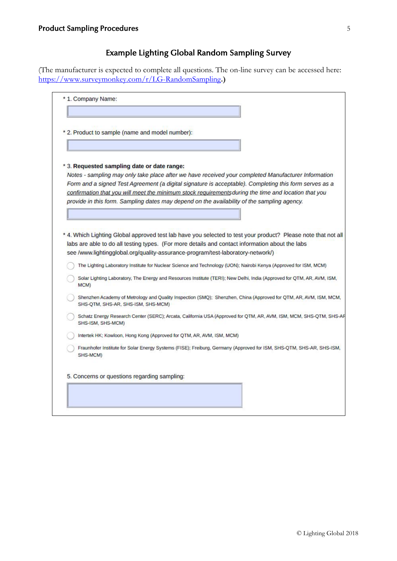# Example Lighting Global Random Sampling Survey

(The manufacturer is expected to complete all questions. The on-line survey can be accessed here: <https://www.surveymonkey.com/r/LG-RandomSampling>**.)**

| * 2. Product to sample (name and model number):                                                                                                                                                                                                                                                                                 |
|---------------------------------------------------------------------------------------------------------------------------------------------------------------------------------------------------------------------------------------------------------------------------------------------------------------------------------|
|                                                                                                                                                                                                                                                                                                                                 |
| * 3. Requested sampling date or date range:                                                                                                                                                                                                                                                                                     |
| Notes - sampling may only take place after we have received your completed Manufacturer Information                                                                                                                                                                                                                             |
| Form and a signed Test Agreement (a digital signature is acceptable). Completing this form serves as a<br>confirmation that you will meet the minimum stock requirements during the time and location that you                                                                                                                  |
| provide in this form. Sampling dates may depend on the availability of the sampling agency.                                                                                                                                                                                                                                     |
|                                                                                                                                                                                                                                                                                                                                 |
|                                                                                                                                                                                                                                                                                                                                 |
| * 4. Which Lighting Global approved test lab have you selected to test your product? Please note that not all<br>labs are able to do all testing types. (For more details and contact information about the labs                                                                                                                |
| see /www.lightingglobal.org/quality-assurance-program/test-laboratory-network/)<br>The Lighting Laboratory Institute for Nuclear Science and Technology (UON); Nairobi Kenya (Approved for ISM, MCM)<br>Solar Lighting Laboratory, The Energy and Resources Institute (TERI); New Delhi, India (Approved for QTM, AR, AVM, ISM, |
| MCM)                                                                                                                                                                                                                                                                                                                            |
| SHS-QTM, SHS-AR, SHS-ISM, SHS-MCM)                                                                                                                                                                                                                                                                                              |
| Shenzhen Academy of Metrology and Quality Inspection (SMQ); Shenzhen, China (Approved for QTM, AR, AVM, ISM, MCM,<br>Schatz Energy Research Center (SERC); Arcata, California USA (Approved for QTM, AR, AVM, ISM, MCM, SHS-QTM, SHS-AF<br>SHS-ISM, SHS-MCM)                                                                    |
| Intertek HK; Kowloon, Hong Kong (Approved for QTM, AR, AVM, ISM, MCM)                                                                                                                                                                                                                                                           |
| Fraunhofer Institute for Solar Energy Systems (FISE); Freiburg, Germany (Approved for ISM, SHS-QTM, SHS-AR, SHS-ISM,<br>SHS-MCM)                                                                                                                                                                                                |
|                                                                                                                                                                                                                                                                                                                                 |